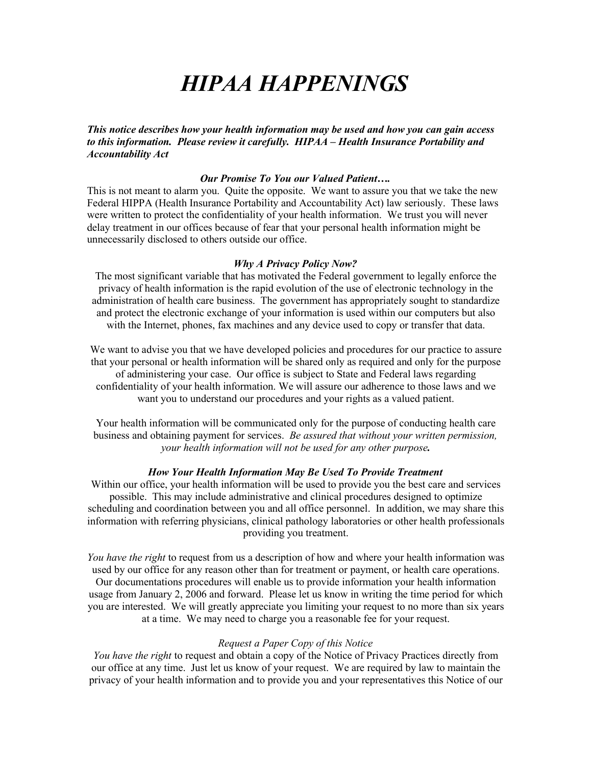# *HIPAA HAPPENINGS*

*This notice describes how your health information may be used and how you can gain access to this information. Please review it carefully. HIPAA – Health Insurance Portability and Accountability Act*

## *Our Promise To You our Valued Patient….*

This is not meant to alarm you. Quite the opposite. We want to assure you that we take the new Federal HIPPA (Health Insurance Portability and Accountability Act) law seriously. These laws were written to protect the confidentiality of your health information. We trust you will never delay treatment in our offices because of fear that your personal health information might be unnecessarily disclosed to others outside our office.

#### *Why A Privacy Policy Now?*

The most significant variable that has motivated the Federal government to legally enforce the privacy of health information is the rapid evolution of the use of electronic technology in the administration of health care business. The government has appropriately sought to standardize and protect the electronic exchange of your information is used within our computers but also with the Internet, phones, fax machines and any device used to copy or transfer that data.

We want to advise you that we have developed policies and procedures for our practice to assure that your personal or health information will be shared only as required and only for the purpose of administering your case. Our office is subject to State and Federal laws regarding confidentiality of your health information. We will assure our adherence to those laws and we want you to understand our procedures and your rights as a valued patient.

Your health information will be communicated only for the purpose of conducting health care business and obtaining payment for services. *Be assured that without your written permission, your health information will not be used for any other purpose.*

## *How Your Health Information May Be Used To Provide Treatment*

Within our office, your health information will be used to provide you the best care and services possible. This may include administrative and clinical procedures designed to optimize scheduling and coordination between you and all office personnel. In addition, we may share this information with referring physicians, clinical pathology laboratories or other health professionals providing you treatment.

*You have the right* to request from us a description of how and where your health information was used by our office for any reason other than for treatment or payment, or health care operations. Our documentations procedures will enable us to provide information your health information usage from January 2, 2006 and forward. Please let us know in writing the time period for which you are interested. We will greatly appreciate you limiting your request to no more than six years at a time. We may need to charge you a reasonable fee for your request.

## *Request a Paper Copy of this Notice*

*You have the right* to request and obtain a copy of the Notice of Privacy Practices directly from our office at any time. Just let us know of your request. We are required by law to maintain the privacy of your health information and to provide you and your representatives this Notice of our